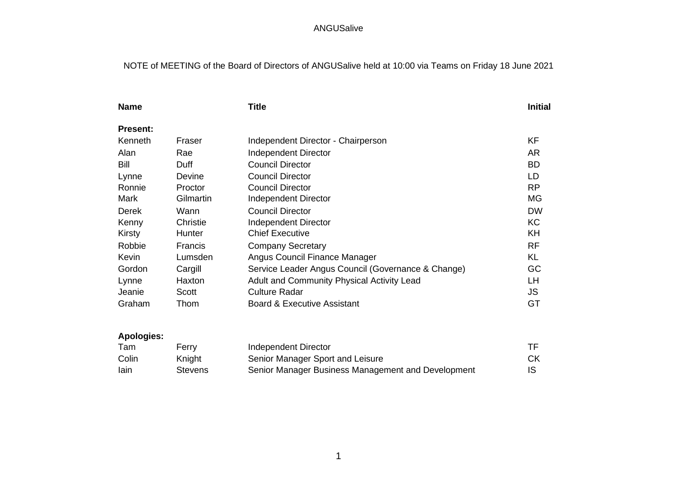# NOTE of MEETING of the Board of Directors of ANGUSalive held at 10:00 via Teams on Friday 18 June 2021

| <b>Name</b>     |           | <b>Title</b>                                       | <b>Initial</b> |
|-----------------|-----------|----------------------------------------------------|----------------|
| <b>Present:</b> |           |                                                    |                |
| Kenneth         | Fraser    | Independent Director - Chairperson                 | KF             |
| Alan            | Rae       | Independent Director                               | <b>AR</b>      |
| Bill            | Duff      | <b>Council Director</b>                            | <b>BD</b>      |
| Lynne           | Devine    | <b>Council Director</b>                            | LD             |
| Ronnie          | Proctor   | <b>Council Director</b>                            | <b>RP</b>      |
| Mark            | Gilmartin | Independent Director                               | MG             |
| Derek           | Wann      | <b>Council Director</b>                            | <b>DW</b>      |
| Kenny           | Christie  | <b>Independent Director</b>                        | <b>KC</b>      |
| Kirsty          | Hunter    | <b>Chief Executive</b>                             | KH             |
| Robbie          | Francis   | <b>Company Secretary</b>                           | <b>RF</b>      |
| Kevin           | Lumsden   | Angus Council Finance Manager                      | KL             |
| Gordon          | Cargill   | Service Leader Angus Council (Governance & Change) | GC             |
| Lynne           | Haxton    | Adult and Community Physical Activity Lead         | LH             |
| Jeanie          | Scott     | <b>Culture Radar</b>                               | JS.            |
| Graham          | Thom      | <b>Board &amp; Executive Assistant</b>             | GT             |
|                 |           |                                                    |                |
|                 |           |                                                    |                |

# **Apologies:**

| Tam   | Ferrv   | Independent Director                               |    |
|-------|---------|----------------------------------------------------|----|
| Colin | Knight  | Senior Manager Sport and Leisure                   | СK |
| lain  | Stevens | Senior Manager Business Management and Development | IS |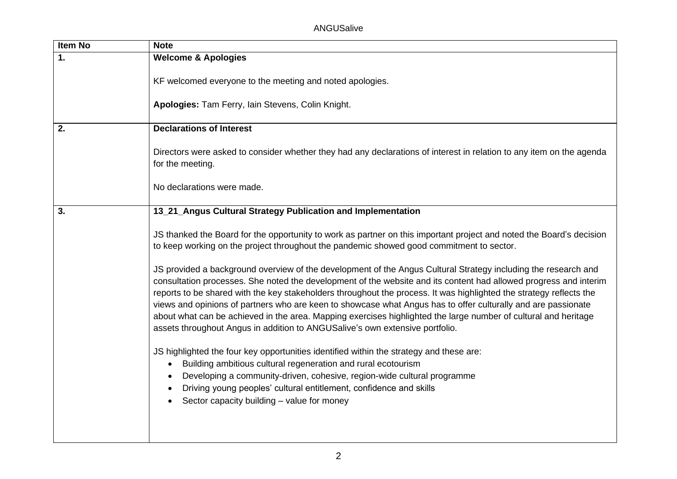| Item No | <b>Note</b>                                                                                                                                                                                                                                                                                                                                                                                                                                                                                                                                                                                                                                                                    |
|---------|--------------------------------------------------------------------------------------------------------------------------------------------------------------------------------------------------------------------------------------------------------------------------------------------------------------------------------------------------------------------------------------------------------------------------------------------------------------------------------------------------------------------------------------------------------------------------------------------------------------------------------------------------------------------------------|
| 1.      | <b>Welcome &amp; Apologies</b>                                                                                                                                                                                                                                                                                                                                                                                                                                                                                                                                                                                                                                                 |
|         | KF welcomed everyone to the meeting and noted apologies.                                                                                                                                                                                                                                                                                                                                                                                                                                                                                                                                                                                                                       |
|         | Apologies: Tam Ferry, Iain Stevens, Colin Knight.                                                                                                                                                                                                                                                                                                                                                                                                                                                                                                                                                                                                                              |
| 2.      | <b>Declarations of Interest</b>                                                                                                                                                                                                                                                                                                                                                                                                                                                                                                                                                                                                                                                |
|         | Directors were asked to consider whether they had any declarations of interest in relation to any item on the agenda<br>for the meeting.                                                                                                                                                                                                                                                                                                                                                                                                                                                                                                                                       |
|         | No declarations were made.                                                                                                                                                                                                                                                                                                                                                                                                                                                                                                                                                                                                                                                     |
| 3.      | 13_21_Angus Cultural Strategy Publication and Implementation                                                                                                                                                                                                                                                                                                                                                                                                                                                                                                                                                                                                                   |
|         | JS thanked the Board for the opportunity to work as partner on this important project and noted the Board's decision<br>to keep working on the project throughout the pandemic showed good commitment to sector.                                                                                                                                                                                                                                                                                                                                                                                                                                                               |
|         | JS provided a background overview of the development of the Angus Cultural Strategy including the research and<br>consultation processes. She noted the development of the website and its content had allowed progress and interim<br>reports to be shared with the key stakeholders throughout the process. It was highlighted the strategy reflects the<br>views and opinions of partners who are keen to showcase what Angus has to offer culturally and are passionate<br>about what can be achieved in the area. Mapping exercises highlighted the large number of cultural and heritage<br>assets throughout Angus in addition to ANGUSalive's own extensive portfolio. |
|         | JS highlighted the four key opportunities identified within the strategy and these are:<br>Building ambitious cultural regeneration and rural ecotourism<br>$\bullet$<br>Developing a community-driven, cohesive, region-wide cultural programme<br>$\bullet$<br>Driving young peoples' cultural entitlement, confidence and skills<br>Sector capacity building - value for money                                                                                                                                                                                                                                                                                              |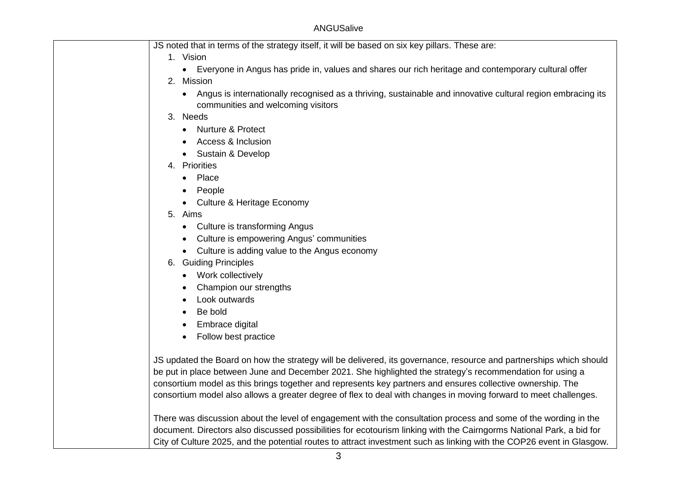| JS noted that in terms of the strategy itself, it will be based on six key pillars. These are:                       |
|----------------------------------------------------------------------------------------------------------------------|
| 1. Vision                                                                                                            |
| Everyone in Angus has pride in, values and shares our rich heritage and contemporary cultural offer<br>$\bullet$     |
| 2. Mission                                                                                                           |
| Angus is internationally recognised as a thriving, sustainable and innovative cultural region embracing its          |
| communities and welcoming visitors                                                                                   |
| 3. Needs                                                                                                             |
| <b>Nurture &amp; Protect</b><br>$\bullet$                                                                            |
| Access & Inclusion                                                                                                   |
| Sustain & Develop<br>$\bullet$                                                                                       |
| 4. Priorities                                                                                                        |
| • Place                                                                                                              |
| People                                                                                                               |
| <b>Culture &amp; Heritage Economy</b><br>$\bullet$                                                                   |
| 5. Aims                                                                                                              |
| Culture is transforming Angus<br>$\bullet$                                                                           |
| Culture is empowering Angus' communities<br>$\bullet$                                                                |
| Culture is adding value to the Angus economy<br>$\bullet$                                                            |
| 6. Guiding Principles                                                                                                |
| Work collectively<br>$\bullet$                                                                                       |
| Champion our strengths<br>$\bullet$                                                                                  |
| Look outwards<br>$\bullet$                                                                                           |
| Be bold                                                                                                              |
| Embrace digital<br>$\bullet$                                                                                         |
| Follow best practice<br>$\bullet$                                                                                    |
|                                                                                                                      |
| JS updated the Board on how the strategy will be delivered, its governance, resource and partnerships which should   |
| be put in place between June and December 2021. She highlighted the strategy's recommendation for using a            |
| consortium model as this brings together and represents key partners and ensures collective ownership. The           |
| consortium model also allows a greater degree of flex to deal with changes in moving forward to meet challenges.     |
|                                                                                                                      |
| There was discussion about the level of engagement with the consultation process and some of the wording in the      |
| document. Directors also discussed possibilities for ecotourism linking with the Cairngorms National Park, a bid for |

City of Culture 2025, and the potential routes to attract investment such as linking with the COP26 event in Glasgow.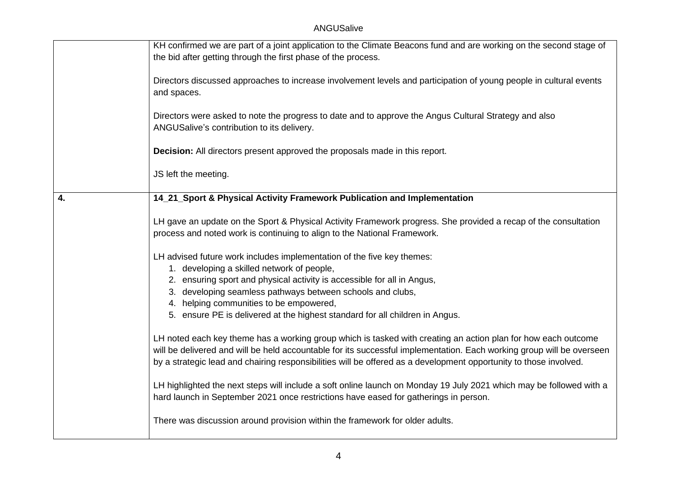|    | KH confirmed we are part of a joint application to the Climate Beacons fund and are working on the second stage of<br>the bid after getting through the first phase of the process.                                                                                                                                                                         |
|----|-------------------------------------------------------------------------------------------------------------------------------------------------------------------------------------------------------------------------------------------------------------------------------------------------------------------------------------------------------------|
|    | Directors discussed approaches to increase involvement levels and participation of young people in cultural events<br>and spaces.                                                                                                                                                                                                                           |
|    | Directors were asked to note the progress to date and to approve the Angus Cultural Strategy and also<br>ANGUSalive's contribution to its delivery.                                                                                                                                                                                                         |
|    | Decision: All directors present approved the proposals made in this report.                                                                                                                                                                                                                                                                                 |
|    | JS left the meeting.                                                                                                                                                                                                                                                                                                                                        |
| 4. | 14_21_Sport & Physical Activity Framework Publication and Implementation                                                                                                                                                                                                                                                                                    |
|    | LH gave an update on the Sport & Physical Activity Framework progress. She provided a recap of the consultation<br>process and noted work is continuing to align to the National Framework.                                                                                                                                                                 |
|    | LH advised future work includes implementation of the five key themes:<br>1. developing a skilled network of people,                                                                                                                                                                                                                                        |
|    | 2. ensuring sport and physical activity is accessible for all in Angus,                                                                                                                                                                                                                                                                                     |
|    | 3. developing seamless pathways between schools and clubs,<br>4. helping communities to be empowered,                                                                                                                                                                                                                                                       |
|    | 5. ensure PE is delivered at the highest standard for all children in Angus.                                                                                                                                                                                                                                                                                |
|    | LH noted each key theme has a working group which is tasked with creating an action plan for how each outcome<br>will be delivered and will be held accountable for its successful implementation. Each working group will be overseen<br>by a strategic lead and chairing responsibilities will be offered as a development opportunity to those involved. |
|    | LH highlighted the next steps will include a soft online launch on Monday 19 July 2021 which may be followed with a<br>hard launch in September 2021 once restrictions have eased for gatherings in person.                                                                                                                                                 |
|    | There was discussion around provision within the framework for older adults.                                                                                                                                                                                                                                                                                |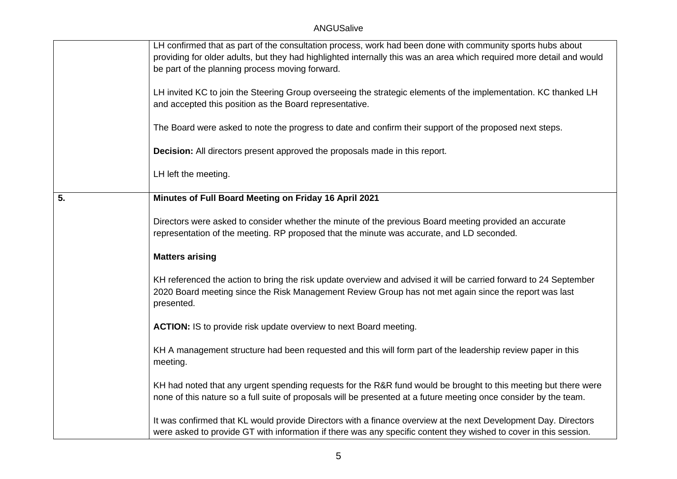|    | LH confirmed that as part of the consultation process, work had been done with community sports hubs about<br>providing for older adults, but they had highlighted internally this was an area which required more detail and would<br>be part of the planning process moving forward.<br>LH invited KC to join the Steering Group overseeing the strategic elements of the implementation. KC thanked LH<br>and accepted this position as the Board representative. |
|----|----------------------------------------------------------------------------------------------------------------------------------------------------------------------------------------------------------------------------------------------------------------------------------------------------------------------------------------------------------------------------------------------------------------------------------------------------------------------|
|    | The Board were asked to note the progress to date and confirm their support of the proposed next steps.                                                                                                                                                                                                                                                                                                                                                              |
|    | Decision: All directors present approved the proposals made in this report.<br>LH left the meeting.                                                                                                                                                                                                                                                                                                                                                                  |
| 5. | Minutes of Full Board Meeting on Friday 16 April 2021                                                                                                                                                                                                                                                                                                                                                                                                                |
|    | Directors were asked to consider whether the minute of the previous Board meeting provided an accurate<br>representation of the meeting. RP proposed that the minute was accurate, and LD seconded.                                                                                                                                                                                                                                                                  |
|    | <b>Matters arising</b>                                                                                                                                                                                                                                                                                                                                                                                                                                               |
|    | KH referenced the action to bring the risk update overview and advised it will be carried forward to 24 September<br>2020 Board meeting since the Risk Management Review Group has not met again since the report was last<br>presented.                                                                                                                                                                                                                             |
|    | ACTION: IS to provide risk update overview to next Board meeting.                                                                                                                                                                                                                                                                                                                                                                                                    |
|    | KH A management structure had been requested and this will form part of the leadership review paper in this<br>meeting.                                                                                                                                                                                                                                                                                                                                              |
|    | KH had noted that any urgent spending requests for the R&R fund would be brought to this meeting but there were<br>none of this nature so a full suite of proposals will be presented at a future meeting once consider by the team.                                                                                                                                                                                                                                 |
|    | It was confirmed that KL would provide Directors with a finance overview at the next Development Day. Directors<br>were asked to provide GT with information if there was any specific content they wished to cover in this session.                                                                                                                                                                                                                                 |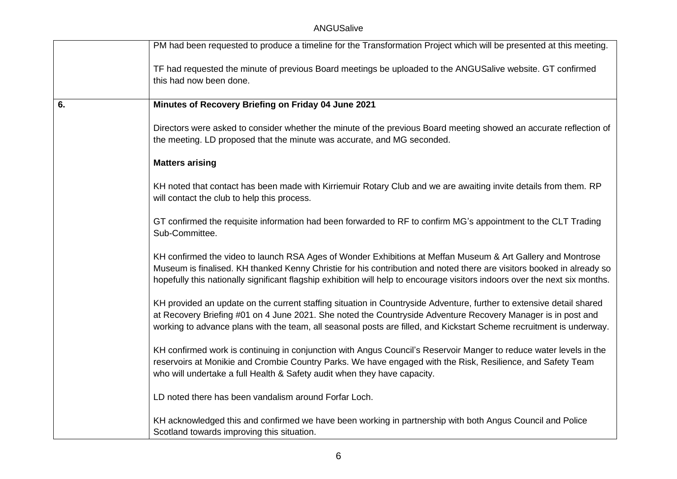|    | PM had been requested to produce a timeline for the Transformation Project which will be presented at this meeting.                                                                                                                                                                                                                                                 |
|----|---------------------------------------------------------------------------------------------------------------------------------------------------------------------------------------------------------------------------------------------------------------------------------------------------------------------------------------------------------------------|
|    | TF had requested the minute of previous Board meetings be uploaded to the ANGUSalive website. GT confirmed<br>this had now been done.                                                                                                                                                                                                                               |
| 6. | Minutes of Recovery Briefing on Friday 04 June 2021                                                                                                                                                                                                                                                                                                                 |
|    | Directors were asked to consider whether the minute of the previous Board meeting showed an accurate reflection of<br>the meeting. LD proposed that the minute was accurate, and MG seconded.                                                                                                                                                                       |
|    | <b>Matters arising</b>                                                                                                                                                                                                                                                                                                                                              |
|    | KH noted that contact has been made with Kirriemuir Rotary Club and we are awaiting invite details from them. RP<br>will contact the club to help this process.                                                                                                                                                                                                     |
|    | GT confirmed the requisite information had been forwarded to RF to confirm MG's appointment to the CLT Trading<br>Sub-Committee.                                                                                                                                                                                                                                    |
|    | KH confirmed the video to launch RSA Ages of Wonder Exhibitions at Meffan Museum & Art Gallery and Montrose<br>Museum is finalised. KH thanked Kenny Christie for his contribution and noted there are visitors booked in already so<br>hopefully this nationally significant flagship exhibition will help to encourage visitors indoors over the next six months. |
|    | KH provided an update on the current staffing situation in Countryside Adventure, further to extensive detail shared<br>at Recovery Briefing #01 on 4 June 2021. She noted the Countryside Adventure Recovery Manager is in post and<br>working to advance plans with the team, all seasonal posts are filled, and Kickstart Scheme recruitment is underway.        |
|    | KH confirmed work is continuing in conjunction with Angus Council's Reservoir Manger to reduce water levels in the<br>reservoirs at Monikie and Crombie Country Parks. We have engaged with the Risk, Resilience, and Safety Team<br>who will undertake a full Health & Safety audit when they have capacity.                                                       |
|    | LD noted there has been vandalism around Forfar Loch.                                                                                                                                                                                                                                                                                                               |
|    | KH acknowledged this and confirmed we have been working in partnership with both Angus Council and Police<br>Scotland towards improving this situation.                                                                                                                                                                                                             |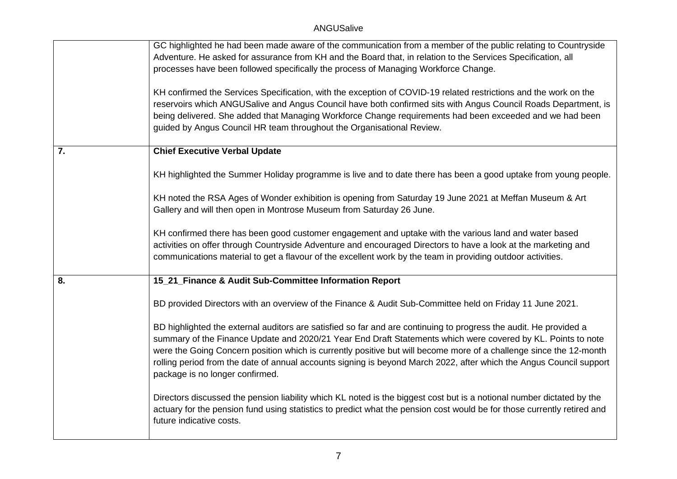|    | GC highlighted he had been made aware of the communication from a member of the public relating to Countryside<br>Adventure. He asked for assurance from KH and the Board that, in relation to the Services Specification, all<br>processes have been followed specifically the process of Managing Workforce Change.                                                                                                                                                                                             |
|----|-------------------------------------------------------------------------------------------------------------------------------------------------------------------------------------------------------------------------------------------------------------------------------------------------------------------------------------------------------------------------------------------------------------------------------------------------------------------------------------------------------------------|
|    | KH confirmed the Services Specification, with the exception of COVID-19 related restrictions and the work on the<br>reservoirs which ANGUSalive and Angus Council have both confirmed sits with Angus Council Roads Department, is<br>being delivered. She added that Managing Workforce Change requirements had been exceeded and we had been<br>guided by Angus Council HR team throughout the Organisational Review.                                                                                           |
| 7. | <b>Chief Executive Verbal Update</b>                                                                                                                                                                                                                                                                                                                                                                                                                                                                              |
|    | KH highlighted the Summer Holiday programme is live and to date there has been a good uptake from young people.                                                                                                                                                                                                                                                                                                                                                                                                   |
|    | KH noted the RSA Ages of Wonder exhibition is opening from Saturday 19 June 2021 at Meffan Museum & Art<br>Gallery and will then open in Montrose Museum from Saturday 26 June.                                                                                                                                                                                                                                                                                                                                   |
|    | KH confirmed there has been good customer engagement and uptake with the various land and water based<br>activities on offer through Countryside Adventure and encouraged Directors to have a look at the marketing and<br>communications material to get a flavour of the excellent work by the team in providing outdoor activities.                                                                                                                                                                            |
| 8. | 15_21_Finance & Audit Sub-Committee Information Report                                                                                                                                                                                                                                                                                                                                                                                                                                                            |
|    | BD provided Directors with an overview of the Finance & Audit Sub-Committee held on Friday 11 June 2021.                                                                                                                                                                                                                                                                                                                                                                                                          |
|    | BD highlighted the external auditors are satisfied so far and are continuing to progress the audit. He provided a<br>summary of the Finance Update and 2020/21 Year End Draft Statements which were covered by KL. Points to note<br>were the Going Concern position which is currently positive but will become more of a challenge since the 12-month<br>rolling period from the date of annual accounts signing is beyond March 2022, after which the Angus Council support<br>package is no longer confirmed. |
|    | Directors discussed the pension liability which KL noted is the biggest cost but is a notional number dictated by the<br>actuary for the pension fund using statistics to predict what the pension cost would be for those currently retired and<br>future indicative costs.                                                                                                                                                                                                                                      |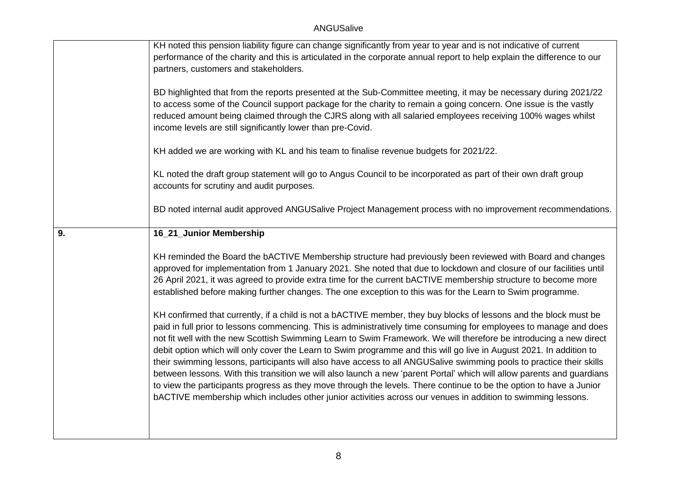|    | KH noted this pension liability figure can change significantly from year to year and is not indicative of current<br>performance of the charity and this is articulated in the corporate annual report to help explain the difference to our<br>partners, customers and stakeholders.                                                                                                                                                                                                                                                                                                                                                                                                                                                                                                                                                                                                                                                                                        |
|----|-------------------------------------------------------------------------------------------------------------------------------------------------------------------------------------------------------------------------------------------------------------------------------------------------------------------------------------------------------------------------------------------------------------------------------------------------------------------------------------------------------------------------------------------------------------------------------------------------------------------------------------------------------------------------------------------------------------------------------------------------------------------------------------------------------------------------------------------------------------------------------------------------------------------------------------------------------------------------------|
|    | BD highlighted that from the reports presented at the Sub-Committee meeting, it may be necessary during 2021/22<br>to access some of the Council support package for the charity to remain a going concern. One issue is the vastly<br>reduced amount being claimed through the CJRS along with all salaried employees receiving 100% wages whilst<br>income levels are still significantly lower than pre-Covid.                                                                                                                                                                                                                                                                                                                                                                                                                                                                                                                                                             |
|    | KH added we are working with KL and his team to finalise revenue budgets for 2021/22.                                                                                                                                                                                                                                                                                                                                                                                                                                                                                                                                                                                                                                                                                                                                                                                                                                                                                         |
|    | KL noted the draft group statement will go to Angus Council to be incorporated as part of their own draft group<br>accounts for scrutiny and audit purposes.                                                                                                                                                                                                                                                                                                                                                                                                                                                                                                                                                                                                                                                                                                                                                                                                                  |
|    | BD noted internal audit approved ANGUSalive Project Management process with no improvement recommendations.                                                                                                                                                                                                                                                                                                                                                                                                                                                                                                                                                                                                                                                                                                                                                                                                                                                                   |
| 9. | 16_21_Junior Membership                                                                                                                                                                                                                                                                                                                                                                                                                                                                                                                                                                                                                                                                                                                                                                                                                                                                                                                                                       |
|    | KH reminded the Board the bACTIVE Membership structure had previously been reviewed with Board and changes<br>approved for implementation from 1 January 2021. She noted that due to lockdown and closure of our facilities until<br>26 April 2021, it was agreed to provide extra time for the current bACTIVE membership structure to become more<br>established before making further changes. The one exception to this was for the Learn to Swim programme.                                                                                                                                                                                                                                                                                                                                                                                                                                                                                                              |
|    | KH confirmed that currently, if a child is not a bACTIVE member, they buy blocks of lessons and the block must be<br>paid in full prior to lessons commencing. This is administratively time consuming for employees to manage and does<br>not fit well with the new Scottish Swimming Learn to Swim Framework. We will therefore be introducing a new direct<br>debit option which will only cover the Learn to Swim programme and this will go live in August 2021. In addition to<br>their swimming lessons, participants will also have access to all ANGUSalive swimming pools to practice their skills<br>between lessons. With this transition we will also launch a new 'parent Portal' which will allow parents and guardians<br>to view the participants progress as they move through the levels. There continue to be the option to have a Junior<br>bACTIVE membership which includes other junior activities across our venues in addition to swimming lessons. |
|    |                                                                                                                                                                                                                                                                                                                                                                                                                                                                                                                                                                                                                                                                                                                                                                                                                                                                                                                                                                               |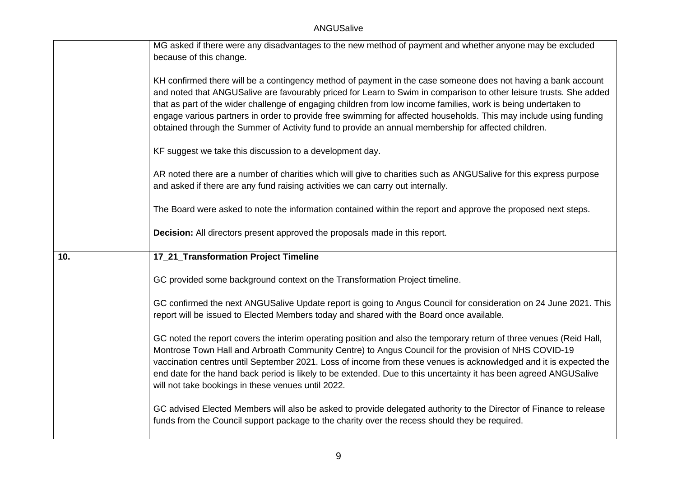|     | MG asked if there were any disadvantages to the new method of payment and whether anyone may be excluded            |
|-----|---------------------------------------------------------------------------------------------------------------------|
|     | because of this change.                                                                                             |
|     |                                                                                                                     |
|     | KH confirmed there will be a contingency method of payment in the case someone does not having a bank account       |
|     | and noted that ANGUSalive are favourably priced for Learn to Swim in comparison to other leisure trusts. She added  |
|     | that as part of the wider challenge of engaging children from low income families, work is being undertaken to      |
|     | engage various partners in order to provide free swimming for affected households. This may include using funding   |
|     | obtained through the Summer of Activity fund to provide an annual membership for affected children.                 |
|     |                                                                                                                     |
|     | KF suggest we take this discussion to a development day.                                                            |
|     |                                                                                                                     |
|     | AR noted there are a number of charities which will give to charities such as ANGUSalive for this express purpose   |
|     | and asked if there are any fund raising activities we can carry out internally.                                     |
|     |                                                                                                                     |
|     | The Board were asked to note the information contained within the report and approve the proposed next steps.       |
|     |                                                                                                                     |
|     |                                                                                                                     |
|     | Decision: All directors present approved the proposals made in this report.                                         |
|     |                                                                                                                     |
| 10. | 17_21_Transformation Project Timeline                                                                               |
|     |                                                                                                                     |
|     | GC provided some background context on the Transformation Project timeline.                                         |
|     |                                                                                                                     |
|     | GC confirmed the next ANGUSalive Update report is going to Angus Council for consideration on 24 June 2021. This    |
|     | report will be issued to Elected Members today and shared with the Board once available.                            |
|     |                                                                                                                     |
|     | GC noted the report covers the interim operating position and also the temporary return of three venues (Reid Hall, |
|     | Montrose Town Hall and Arbroath Community Centre) to Angus Council for the provision of NHS COVID-19                |
|     | vaccination centres until September 2021. Loss of income from these venues is acknowledged and it is expected the   |
|     | end date for the hand back period is likely to be extended. Due to this uncertainty it has been agreed ANGUSalive   |
|     | will not take bookings in these venues until 2022.                                                                  |
|     |                                                                                                                     |
|     | GC advised Elected Members will also be asked to provide delegated authority to the Director of Finance to release  |
|     | funds from the Council support package to the charity over the recess should they be required.                      |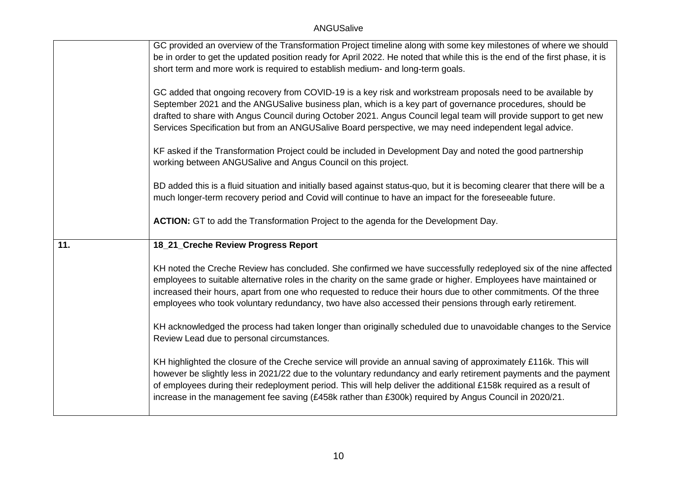|     | GC provided an overview of the Transformation Project timeline along with some key milestones of where we should                                                                                                                                                                                                                                                                                                                                       |
|-----|--------------------------------------------------------------------------------------------------------------------------------------------------------------------------------------------------------------------------------------------------------------------------------------------------------------------------------------------------------------------------------------------------------------------------------------------------------|
|     | be in order to get the updated position ready for April 2022. He noted that while this is the end of the first phase, it is                                                                                                                                                                                                                                                                                                                            |
|     | short term and more work is required to establish medium- and long-term goals.                                                                                                                                                                                                                                                                                                                                                                         |
|     | GC added that ongoing recovery from COVID-19 is a key risk and workstream proposals need to be available by<br>September 2021 and the ANGUSalive business plan, which is a key part of governance procedures, should be<br>drafted to share with Angus Council during October 2021. Angus Council legal team will provide support to get new<br>Services Specification but from an ANGUSalive Board perspective, we may need independent legal advice. |
|     | KF asked if the Transformation Project could be included in Development Day and noted the good partnership<br>working between ANGUSalive and Angus Council on this project.                                                                                                                                                                                                                                                                            |
|     | BD added this is a fluid situation and initially based against status-quo, but it is becoming clearer that there will be a<br>much longer-term recovery period and Covid will continue to have an impact for the foreseeable future.                                                                                                                                                                                                                   |
|     | ACTION: GT to add the Transformation Project to the agenda for the Development Day.                                                                                                                                                                                                                                                                                                                                                                    |
|     |                                                                                                                                                                                                                                                                                                                                                                                                                                                        |
| 11. | 18_21_Creche Review Progress Report                                                                                                                                                                                                                                                                                                                                                                                                                    |
|     |                                                                                                                                                                                                                                                                                                                                                                                                                                                        |
|     | KH noted the Creche Review has concluded. She confirmed we have successfully redeployed six of the nine affected                                                                                                                                                                                                                                                                                                                                       |
|     | employees to suitable alternative roles in the charity on the same grade or higher. Employees have maintained or                                                                                                                                                                                                                                                                                                                                       |
|     | increased their hours, apart from one who requested to reduce their hours due to other commitments. Of the three<br>employees who took voluntary redundancy, two have also accessed their pensions through early retirement.                                                                                                                                                                                                                           |
|     | KH acknowledged the process had taken longer than originally scheduled due to unavoidable changes to the Service<br>Review Lead due to personal circumstances.                                                                                                                                                                                                                                                                                         |